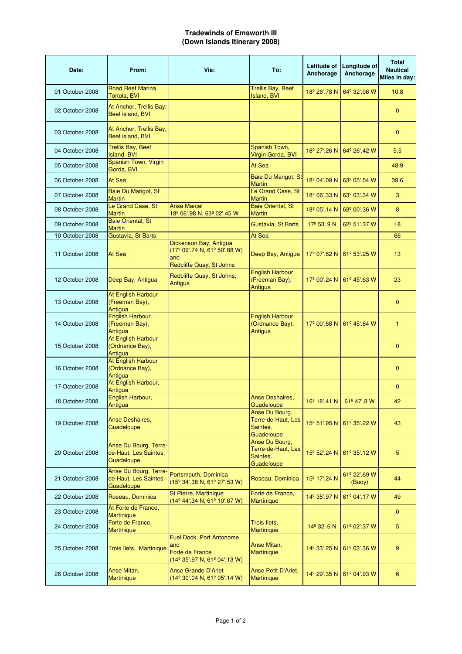## **Tradewinds of Emsworth III (Down Islands Itinerary 2008)**

| Date:           | From:                                                        | Via:                                                                                                              | To:                                                            | Latitude of<br>Anchorage | Longitude of<br>Anchorage | <b>Total</b><br><b>Nautical</b><br>Miles in day: |
|-----------------|--------------------------------------------------------------|-------------------------------------------------------------------------------------------------------------------|----------------------------------------------------------------|--------------------------|---------------------------|--------------------------------------------------|
| 01 October 2008 | Road Reef Marina,<br><b>Tortola, BVI</b>                     |                                                                                                                   | <b>Trellis Bay, Beef</b><br>Island, BVI                        | 18 <sup>°</sup> 26'.78 N | 64º 32'.06 W              | 10.8                                             |
| 02 October 2008 | At Anchor, Trellis Bay,<br>Beef island, BVI                  |                                                                                                                   |                                                                |                          |                           | $\mathbf{0}$                                     |
| 03 October 2008 | At Anchor, Trellis Bay,<br>Beef island, BVI                  |                                                                                                                   |                                                                |                          |                           | $\mathbf{0}$                                     |
| 04 October 2008 | <b>Trellis Bay, Beef</b><br>Island, BVI                      |                                                                                                                   | Spanish Town,<br>Virgin Gorda, BVI                             | 18 <sup>°</sup> 27'.26 N | 64º 26'.42 W              | 5.5                                              |
| 05 October 2008 | Spanish Town, Virgin<br>Gorda, BVI                           |                                                                                                                   | At Sea                                                         |                          |                           | 48.9                                             |
| 06 October 2008 | At Sea                                                       |                                                                                                                   | Baie Du Marigot, St<br><b>Martin</b>                           | 18 <sup>°</sup> 04'.09 N | 63º 05'.54 W              | 39.6                                             |
| 07 October 2008 | Baie Du Marigot, St<br><b>Martin</b>                         |                                                                                                                   | Le Grand Case, St<br><b>Martin</b>                             | 18 <sup>°</sup> 06'.33 N | 63º 03'.34 W              | 3                                                |
| 08 October 2008 | Le Grand Case, St<br><b>Martin</b>                           | <b>Anse Marcel</b><br>18 <sup>º</sup> 06'.98 N, 63 <sup>°</sup> 02'.45 W                                          | <b>Baie Oriental, St</b><br><b>Martin</b>                      | 18 <sup>°</sup> 05'.14 N | 63º 00'.36 W              | 8                                                |
| 09 October 2008 | <b>Baie Oriental, St</b><br><b>Martin</b>                    |                                                                                                                   | Gustavia, St Barts                                             | $17^{\circ}$ 53'.9 N     | 62º 51'.37 W              | 18                                               |
| 10 October 2008 | Gustavia, St Barts                                           |                                                                                                                   | At Sea                                                         |                          |                           | 66                                               |
| 11 October 2008 | At Sea                                                       | Dickenson Bay, Antigua<br>(17 <sup>°</sup> 09'.74 N, 61 <sup>°</sup> 50'.88 W)<br>and<br>Redcliffe Quay, St Johns | Deep Bay, Antigua                                              | 17 <sup>°</sup> 07'.62 N | $61^{\circ}$ 53'.25 W     | 13                                               |
| 12 October 2008 | Deep Bay, Antigua                                            | Redcliffe Quay, St Johns,<br>Antigua                                                                              | <b>English Harbour</b><br>(Freeman Bay),<br>Antigua            | 17 <sup>°</sup> 00'.24 N | 61º 45'.63 W              | 23                                               |
| 13 October 2008 | At English Harbour<br>(Freeman Bay),<br>Antigua              |                                                                                                                   |                                                                |                          |                           | $\mathbf{0}$                                     |
| 14 October 2008 | <b>English Harbour</b><br>(Freeman Bay),<br>Antigua          |                                                                                                                   | <b>English Harbour</b><br>(Ordnance Bay),<br>Antigua           | 17 <sup>°</sup> 00'.68 N | 61º 45'.84 W              | $\mathbf{1}$                                     |
| 15 October 2008 | At English Harbour<br>(Ordnance Bay),<br>Antigua             |                                                                                                                   |                                                                |                          |                           | $\mathbf{0}$                                     |
| 16 October 2008 | At English Harbour<br>(Ordnance Bay),<br>Antigua             |                                                                                                                   |                                                                |                          |                           | $\mathbf{0}$                                     |
| 17 October 2008 | At English Harbour,<br>Antigua                               |                                                                                                                   |                                                                |                          |                           | $\mathbf{0}$                                     |
| 18 October 2008 | English Harbour,<br>Antigua                                  |                                                                                                                   | Anse Deshaires,<br>Guadeloupe                                  | 16 <sup>°</sup> 18'.41 N | 61º 47'.8 W               | 42                                               |
| 19 October 2008 | <b>Anse Deshaires,</b><br>Guadeloupe                         |                                                                                                                   | Anse Du Bourg,<br>Terre-de-Haut, Les<br>Saintes.<br>Guadeloupe | 15 <sup>°</sup> 51'.95 N | 61º 35'.22 W              | 43                                               |
| 20 October 2008 | Anse Du Bourg, Terre-<br>de-Haut, Les Saintes.<br>Guadeloupe |                                                                                                                   | Anse Du Bourg,<br>Terre-de-Haut, Les<br>Saintes.<br>Guadeloupe | 15 <sup>°</sup> 52'.24 N | 61º 35'.12 W              | 5                                                |
| 21 October 2008 | Anse Du Bourg, Terre-<br>de-Haut, Les Saintes.<br>Guadeloupe | Portsmouth, Dominica<br>(15 <sup>°</sup> 34'.38 N, 61 <sup>°</sup> 27'.53 W)                                      | Roseau, Dominica                                               | 15 <sup>°</sup> 17'.24 N | 61º 22'.69 W<br>(Buoy)    | 44                                               |
| 22 October 2008 | Roseau, Dominica                                             | St Pierre, Martinique<br>(14 <sup>°</sup> 44'.34 N, 61 <sup>°</sup> 10'.67 W)                                     | Forte de France,<br><b>Martinique</b>                          | 14 <sup>°</sup> 35'.97 N | 61º 04'.17 W              | 49                                               |
| 23 October 2008 | At Forte de France,<br><b>Martinique</b>                     |                                                                                                                   |                                                                |                          |                           | $\mathbf{0}$                                     |
| 24 October 2008 | Forte de France,<br>Martinique                               |                                                                                                                   | <b>Trois Ilets,</b><br>Martinique                              | 14 <sup>°</sup> 32'.6 N  | 61º 02'.37 W              | 5                                                |
| 25 October 2008 | Trois Ilets, Martinique                                      | Fuel Dock, Port Antonome<br>and<br>Forte de France<br>(14º 35'.97 N, 61º 04'.13 W)                                | Anse Mitan,<br><b>Martinique</b>                               | 14 <sup>°</sup> 33'.25 N | 61º 03'.36 W              | 9                                                |
| 26 October 2008 | Anse Mitan,<br><b>Martinique</b>                             | <b>Anse Grande D'Arlet</b><br>(14º 30'.04 N, 61º 05'.14 W)                                                        | Anse Petit D'Arlet,<br><b>Martinique</b>                       | 14 <sup>°</sup> 29'.35 N | 61º 04'.93 W              | 6                                                |